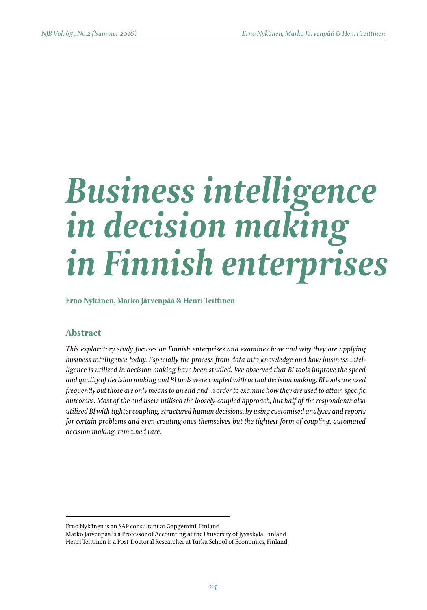# *Business intelligence in decision making in Finnish enterprises*

**Erno Nykänen, Marko Järvenpää & Henri Teittinen**

# **Abstract**

*This exploratory study focuses on Finnish enterprises and examines how and why they are applying business intelligence today. Especially the process from data into knowledge and how business intelligence is utilized in decision making have been studied. We observed that BI tools improve the speed and quality of decision making and BI tools were coupled with actual decision making. BI tools are used frequently but those are only means to an end and in order to examine how they are used to attain specific outcomes. Most of the end users utilised the loosely-coupled approach, but half of the respondents also utilised BI with tighter coupling, structured human decisions, by using customised analyses and reports for certain problems and even creating ones themselves but the tightest form of coupling, automated decision making, remained rare.*

Erno Nykänen is an SAP consultant at Gapgemini, Finland

Marko Järvenpää is a Professor of Accounting at the University of Jyväskylä, Finland Henri Teittinen is a Post-Doctoral Researcher at Turku School of Economics, Finland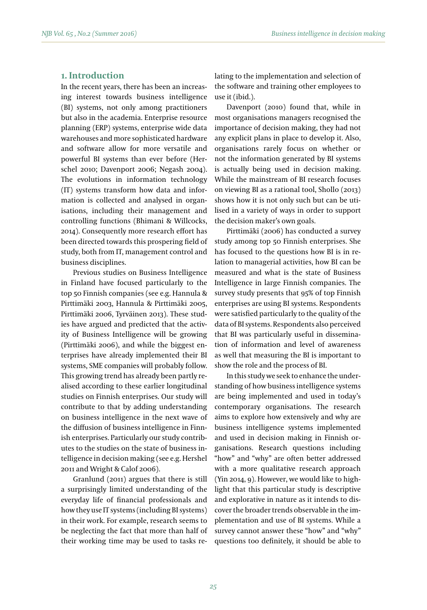## **1. Introduction**

In the recent years, there has been an increasing interest towards business intelligence (BI) systems, not only among practitioners but also in the academia. Enterprise resource planning (ERP) systems, enterprise wide data warehouses and more sophisticated hardware and software allow for more versatile and powerful BI systems than ever before (Herschel 2010; Davenport 2006; Negash 2004). The evolutions in information technology (IT) systems transform how data and information is collected and analysed in organisations, including their management and controlling functions (Bhimani & Willcocks, 2014). Consequently more research effort has been directed towards this prospering field of study, both from IT, management control and business disciplines.

Previous studies on Business Intelligence in Finland have focused particularly to the top 50 Finnish companies (see e.g. Hannula & Pirttimäki 2003, Hannula & Pirttimäki 2005, Pirttimäki 2006, Tyrväinen 2013). These studies have argued and predicted that the activity of Business Intelligence will be growing (Pirttimäki 2006), and while the biggest enterprises have already implemented their BI systems, SME companies will probably follow. This growing trend has already been partly realised according to these earlier longitudinal studies on Finnish enterprises. Our study will contribute to that by adding understanding on business intelligence in the next wave of the diffusion of business intelligence in Finnish enterprises. Particularly our study contributes to the studies on the state of business intelligence in decision making (see e.g. Hershel 2011 and Wright & Calof 2006).

Granlund (2011) argues that there is still a surprisingly limited understanding of the everyday life of financial professionals and how they use IT systems (including BI systems) in their work. For example, research seems to be neglecting the fact that more than half of their working time may be used to tasks relating to the implementation and selection of the software and training other employees to use it (ibid.).

Davenport (2010) found that, while in most organisations managers recognised the importance of decision making, they had not any explicit plans in place to develop it. Also, organisations rarely focus on whether or not the information generated by BI systems is actually being used in decision making. While the mainstream of BI research focuses on viewing BI as a rational tool, Shollo (2013) shows how it is not only such but can be utilised in a variety of ways in order to support the decision maker's own goals.

Pirttimäki (2006) has conducted a survey study among top 50 Finnish enterprises. She has focused to the questions how BI is in relation to managerial activities, how BI can be measured and what is the state of Business Intelligence in large Finnish companies. The survey study presents that 95% of top Finnish enterprises are using BI systems. Respondents were satisfied particularly to the quality of the data of BI systems. Respondents also perceived that BI was particularly useful in dissemination of information and level of awareness as well that measuring the BI is important to show the role and the process of BI.

In this study we seek to enhance the understanding of how business intelligence systems are being implemented and used in today's contemporary organisations. The research aims to explore how extensively and why are business intelligence systems implemented and used in decision making in Finnish organisations. Research questions including "how" and "why" are often better addressed with a more qualitative research approach (Yin 2014, 9). However, we would like to highlight that this particular study is descriptive and explorative in nature as it intends to discover the broader trends observable in the implementation and use of BI systems. While a survey cannot answer these "how" and "why" questions too definitely, it should be able to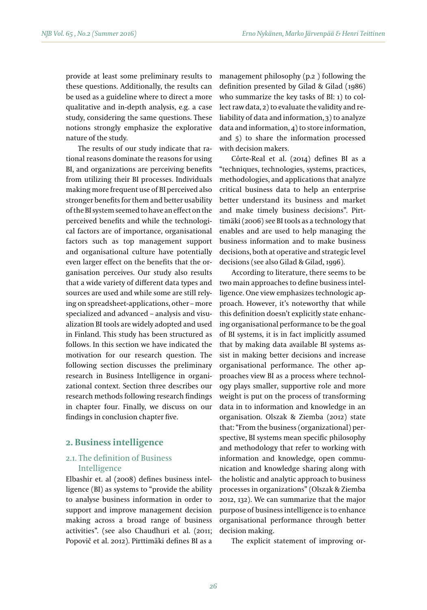provide at least some preliminary results to these questions. Additionally, the results can be used as a guideline where to direct a more qualitative and in-depth analysis, e.g. a case study, considering the same questions. These notions strongly emphasize the explorative nature of the study.

The results of our study indicate that rational reasons dominate the reasons for using BI, and organizations are perceiving benefits from utilizing their BI processes. Individuals making more frequent use of BI perceived also stronger benefits for them and better usability of the BI system seemed to have an effect on the perceived benefits and while the technological factors are of importance, organisational factors such as top management support and organisational culture have potentially even larger effect on the benefits that the organisation perceives. Our study also results that a wide variety of different data types and sources are used and while some are still relying on spreadsheet-applications, other – more specialized and advanced – analysis and visualization BI tools are widely adopted and used in Finland. This study has been structured as follows. In this section we have indicated the motivation for our research question. The following section discusses the preliminary research in Business Intelligence in organizational context. Section three describes our research methods following research findings in chapter four. Finally, we discuss on our findings in conclusion chapter five.

# **2. Business intelligence**

## 2.1. The definition of Business Intelligence

Elbashir et. al (2008) defines business intelligence (BI) as systems to "provide the ability to analyse business information in order to support and improve management decision making across a broad range of business activities". (see also Chaudhuri et al. (2011; Popovič et al. 2012). Pirttimäki defines BI as a

management philosophy (p.2 ) following the definition presented by Gilad & Gilad (1986) who summarize the key tasks of BI: 1) to collect raw data, 2) to evaluate the validity and reliability of data and information, 3) to analyze data and information, 4) to store information, and 5) to share the information processed with decision makers.

Côrte-Real et al. (2014) defines BI as a "techniques, technologies, systems, practices, methodologies, and applications that analyze critical business data to help an enterprise better understand its business and market and make timely business decisions". Pirttimäki (2006) see BI tools as a technology that enables and are used to help managing the business information and to make business decisions, both at operative and strategic level decisions (see also Gilad & Gilad, 1996).

According to literature, there seems to be two main approaches to define business intelligence. One view emphasizes technologic approach. However, it's noteworthy that while this definition doesn't explicitly state enhancing organisational performance to be the goal of BI systems, it is in fact implicitly assumed that by making data available BI systems assist in making better decisions and increase organisational performance. The other approaches view BI as a process where technology plays smaller, supportive role and more weight is put on the process of transforming data in to information and knowledge in an organisation. Olszak & Ziemba (2012) state that: "From the business (organizational) perspective, BI systems mean specific philosophy and methodology that refer to working with information and knowledge, open communication and knowledge sharing along with the holistic and analytic approach to business processes in organizations" (Olszak & Ziemba 2012, 132). We can summarize that the major purpose of business intelligence is to enhance organisational performance through better decision making.

The explicit statement of improving or-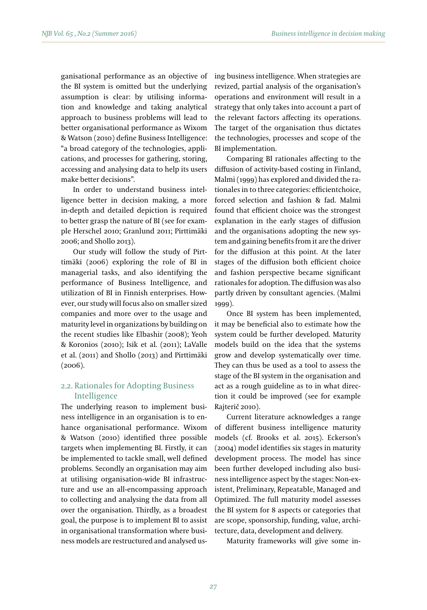ganisational performance as an objective of the BI system is omitted but the underlying assumption is clear: by utilising information and knowledge and taking analytical approach to business problems will lead to better organisational performance as Wixom & Watson (2010) define Business Intelligence: "a broad category of the technologies, applications, and processes for gathering, storing, accessing and analysing data to help its users make better decisions".

In order to understand business intelligence better in decision making, a more in-depth and detailed depiction is required to better grasp the nature of BI (see for example Herschel 2010; Granlund 2011; Pirttimäki 2006; and Shollo 2013).

Our study will follow the study of Pirttimäki (2006) exploring the role of BI in managerial tasks, and also identifying the performance of Business Intelligence, and utilization of BI in Finnish enterprises. However, our study will focus also on smaller sized companies and more over to the usage and maturity level in organizations by building on the recent studies like Elbashir (2008); Yeoh & Koronios (2010); Isik et al. (2011); LaValle et al. (2011) and Shollo (2013) and Pirttimäki (2006).

# 2.2. Rationales for Adopting Business Intelligence

The underlying reason to implement business intelligence in an organisation is to enhance organisational performance. Wixom & Watson (2010) identified three possible targets when implementing BI. Firstly, it can be implemented to tackle small, well defined problems. Secondly an organisation may aim at utilising organisation-wide BI infrastructure and use an all-encompassing approach to collecting and analysing the data from all over the organisation. Thirdly, as a broadest goal, the purpose is to implement BI to assist in organisational transformation where business models are restructured and analysed using business intelligence. When strategies are revized, partial analysis of the organisation's operations and environment will result in a strategy that only takes into account a part of the relevant factors affecting its operations. The target of the organisation thus dictates the technologies, processes and scope of the BI implementation.

Comparing BI rationales affecting to the diffusion of activity-based costing in Finland, Malmi (1999) has explored and divided the rationales in to three categories: efficientchoice, forced selection and fashion & fad. Malmi found that efficient choice was the strongest explanation in the early stages of diffusion and the organisations adopting the new system and gaining benefits from it are the driver for the diffusion at this point. At the later stages of the diffusion both efficient choice and fashion perspective became significant rationales for adoption. The diffusion was also partly driven by consultant agencies. (Malmi 1999).

Once BI system has been implemented, it may be beneficial also to estimate how the system could be further developed. Maturity models build on the idea that the systems grow and develop systematically over time. They can thus be used as a tool to assess the stage of the BI system in the organisation and act as a rough guideline as to in what direction it could be improved (see for example Rajterič 2010).

Current literature acknowledges a range of different business intelligence maturity models (cf. Brooks et al. 2015). Eckerson's (2004) model identifies six stages in maturity development process. The model has since been further developed including also business intelligence aspect by the stages: Non-existent, Preliminary, Repeatable, Managed and Optimized. The full maturity model assesses the BI system for 8 aspects or categories that are scope, sponsorship, funding, value, architecture, data, development and delivery.

Maturity frameworks will give some in-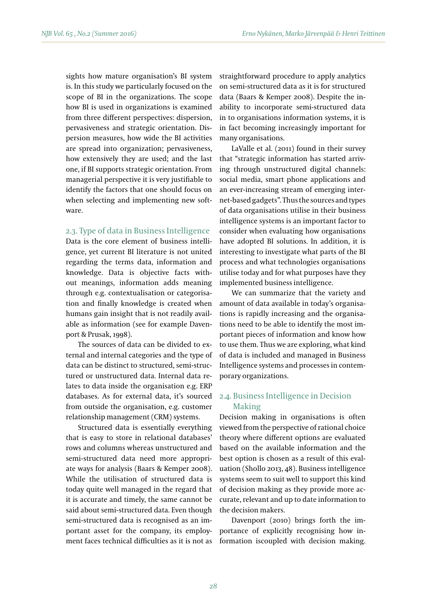sights how mature organisation's BI system is. In this study we particularly focused on the scope of BI in the organizations. The scope how BI is used in organizations is examined from three different perspectives: dispersion, pervasiveness and strategic orientation. Dispersion measures, how wide the BI activities are spread into organization; pervasiveness, how extensively they are used; and the last one, if BI supports strategic orientation. From managerial perspective it is very justifiable to identify the factors that one should focus on when selecting and implementing new software.

#### 2.3. Type of data in Business Intelligence

Data is the core element of business intelligence, yet current BI literature is not united regarding the terms data, information and knowledge. Data is objective facts without meanings, information adds meaning through e.g. contextualisation or categorisation and finally knowledge is created when humans gain insight that is not readily available as information (see for example Davenport & Prusak, 1998).

The sources of data can be divided to external and internal categories and the type of data can be distinct to structured, semi-structured or unstructured data. Internal data relates to data inside the organisation e.g. ERP databases. As for external data, it's sourced from outside the organisation, e.g. customer relationship management (CRM) systems.

Structured data is essentially everything that is easy to store in relational databases' rows and columns whereas unstructured and semi-structured data need more appropriate ways for analysis (Baars & Kemper 2008). While the utilisation of structured data is today quite well managed in the regard that it is accurate and timely, the same cannot be said about semi-structured data. Even though semi-structured data is recognised as an important asset for the company, its employment faces technical difficulties as it is not as

straightforward procedure to apply analytics on semi-structured data as it is for structured data (Baars & Kemper 2008). Despite the inability to incorporate semi-structured data in to organisations information systems, it is in fact becoming increasingly important for many organisations.

LaValle et al. (2011) found in their survey that "strategic information has started arriving through unstructured digital channels: social media, smart phone applications and an ever-increasing stream of emerging internet-based gadgets". Thus the sources and types of data organisations utilise in their business intelligence systems is an important factor to consider when evaluating how organisations have adopted BI solutions. In addition, it is interesting to investigate what parts of the BI process and what technologies organisations utilise today and for what purposes have they implemented business intelligence.

We can summarize that the variety and amount of data available in today's organisations is rapidly increasing and the organisations need to be able to identify the most important pieces of information and know how to use them. Thus we are exploring, what kind of data is included and managed in Business Intelligence systems and processes in contemporary organizations.

# 2.4. Business Intelligence in Decision Making

Decision making in organisations is often viewed from the perspective of rational choice theory where different options are evaluated based on the available information and the best option is chosen as a result of this evaluation (Shollo 2013, 48). Business intelligence systems seem to suit well to support this kind of decision making as they provide more accurate, relevant and up to date information to the decision makers.

Davenport (2010) brings forth the importance of explicitly recognising how information iscoupled with decision making.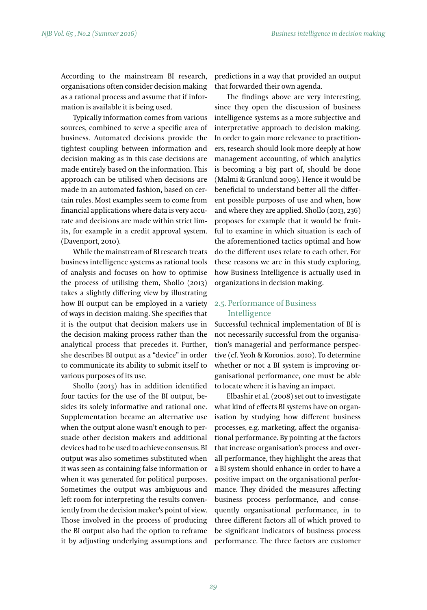According to the mainstream BI research, organisations often consider decision making as a rational process and assume that if information is available it is being used.

Typically information comes from various sources, combined to serve a specific area of business. Automated decisions provide the tightest coupling between information and decision making as in this case decisions are made entirely based on the information. This approach can be utilised when decisions are made in an automated fashion, based on certain rules. Most examples seem to come from financial applications where data is very accurate and decisions are made within strict limits, for example in a credit approval system. (Davenport, 2010).

While the mainstream of BI research treats business intelligence systems as rational tools of analysis and focuses on how to optimise the process of utilising them, Shollo (2013) takes a slightly differing view by illustrating how BI output can be employed in a variety of ways in decision making. She specifies that it is the output that decision makers use in the decision making process rather than the analytical process that precedes it. Further, she describes BI output as a "device" in order to communicate its ability to submit itself to various purposes of its use.

Shollo (2013) has in addition identified four tactics for the use of the BI output, besides its solely informative and rational one. Supplementation became an alternative use when the output alone wasn't enough to persuade other decision makers and additional devices had to be used to achieve consensus. BI output was also sometimes substituted when it was seen as containing false information or when it was generated for political purposes. Sometimes the output was ambiguous and left room for interpreting the results conveniently from the decision maker's point of view. Those involved in the process of producing the BI output also had the option to reframe it by adjusting underlying assumptions and

predictions in a way that provided an output that forwarded their own agenda.

The findings above are very interesting, since they open the discussion of business intelligence systems as a more subjective and interpretative approach to decision making. In order to gain more relevance to practitioners, research should look more deeply at how management accounting, of which analytics is becoming a big part of, should be done (Malmi & Granlund 2009). Hence it would be beneficial to understand better all the different possible purposes of use and when, how and where they are applied. Shollo (2013, 236) proposes for example that it would be fruitful to examine in which situation is each of the aforementioned tactics optimal and how do the different uses relate to each other. For these reasons we are in this study exploring, how Business Intelligence is actually used in organizations in decision making.

# 2.5. Performance of Business Intelligence

Successful technical implementation of BI is not necessarily successful from the organisation's managerial and performance perspective (cf. Yeoh & Koronios. 2010). To determine whether or not a BI system is improving organisational performance, one must be able to locate where it is having an impact.

Elbashir et al. (2008) set out to investigate what kind of effects BI systems have on organisation by studying how different business processes, e.g. marketing, affect the organisational performance. By pointing at the factors that increase organisation's process and overall performance, they highlight the areas that a BI system should enhance in order to have a positive impact on the organisational performance. They divided the measures affecting business process performance, and consequently organisational performance, in to three different factors all of which proved to be significant indicators of business process performance. The three factors are customer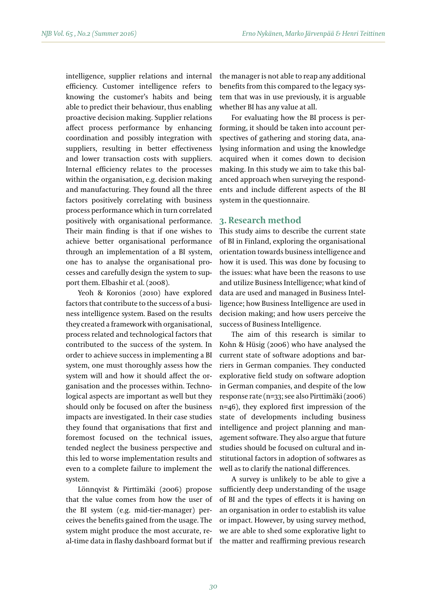intelligence, supplier relations and internal efficiency. Customer intelligence refers to knowing the customer's habits and being able to predict their behaviour, thus enabling proactive decision making. Supplier relations affect process performance by enhancing coordination and possibly integration with suppliers, resulting in better effectiveness and lower transaction costs with suppliers. Internal efficiency relates to the processes within the organisation, e.g. decision making and manufacturing. They found all the three factors positively correlating with business process performance which in turn correlated positively with organisational performance. Their main finding is that if one wishes to achieve better organisational performance through an implementation of a BI system, one has to analyse the organisational processes and carefully design the system to support them. Elbashir et al. (2008).

Yeoh & Koronios (2010) have explored factors that contribute to the success of a business intelligence system. Based on the results they created a framework with organisational, process related and technological factors that contributed to the success of the system. In order to achieve success in implementing a BI system, one must thoroughly assess how the system will and how it should affect the organisation and the processes within. Technological aspects are important as well but they should only be focused on after the business impacts are investigated. In their case studies they found that organisations that first and foremost focused on the technical issues, tended neglect the business perspective and this led to worse implementation results and even to a complete failure to implement the system.

Lönnqvist & Pirttimäki (2006) propose that the value comes from how the user of the BI system (e.g. mid-tier-manager) perceives the benefits gained from the usage. The system might produce the most accurate, real-time data in flashy dashboard format but if the manager is not able to reap any additional benefits from this compared to the legacy system that was in use previously, it is arguable whether BI has any value at all.

For evaluating how the BI process is performing, it should be taken into account perspectives of gathering and storing data, analysing information and using the knowledge acquired when it comes down to decision making. In this study we aim to take this balanced approach when surveying the respondents and include different aspects of the BI system in the questionnaire.

#### **3. Research method**

This study aims to describe the current state of BI in Finland, exploring the organisational orientation towards business intelligence and how it is used. This was done by focusing to the issues: what have been the reasons to use and utilize Business Intelligence; what kind of data are used and managed in Business Intelligence; how Business Intelligence are used in decision making; and how users perceive the success of Business Intelligence.

The aim of this research is similar to Kohn & Hüsig (2006) who have analysed the current state of software adoptions and barriers in German companies. They conducted explorative field study on software adoption in German companies, and despite of the low response rate (n=33; see also Pirttimäki (2006) n=46), they explored first impression of the state of developments including business intelligence and project planning and management software. They also argue that future studies should be focused on cultural and institutional factors in adoption of softwares as well as to clarify the national differences.

A survey is unlikely to be able to give a sufficiently deep understanding of the usage of BI and the types of effects it is having on an organisation in order to establish its value or impact. However, by using survey method, we are able to shed some explorative light to the matter and reaffirming previous research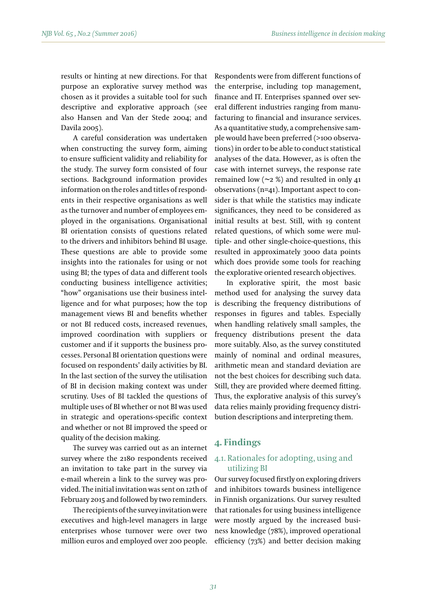results or hinting at new directions. For that purpose an explorative survey method was chosen as it provides a suitable tool for such descriptive and explorative approach (see also Hansen and Van der Stede 2004; and Davila 2005).

A careful consideration was undertaken when constructing the survey form, aiming to ensure sufficient validity and reliability for the study. The survey form consisted of four sections. Background information provides information on the roles and titles of respondents in their respective organisations as well as the turnover and number of employees employed in the organisations. Organisational BI orientation consists of questions related to the drivers and inhibitors behind BI usage. These questions are able to provide some insights into the rationales for using or not using BI; the types of data and different tools conducting business intelligence activities; "how" organisations use their business intelligence and for what purposes; how the top management views BI and benefits whether or not BI reduced costs, increased revenues, improved coordination with suppliers or customer and if it supports the business processes. Personal BI orientation questions were focused on respondents' daily activities by BI. In the last section of the survey the utilisation of BI in decision making context was under scrutiny. Uses of BI tackled the questions of multiple uses of BI whether or not BI was used in strategic and operations-specific context and whether or not BI improved the speed or quality of the decision making.

The survey was carried out as an internet survey where the 2180 respondents received an invitation to take part in the survey via e-mail wherein a link to the survey was provided. The initial invitation was sent on 12th of February 2015 and followed by two reminders.

The recipients of the survey invitation were executives and high-level managers in large enterprises whose turnover were over two million euros and employed over 200 people. Respondents were from different functions of the enterprise, including top management, finance and IT. Enterprises spanned over several different industries ranging from manufacturing to financial and insurance services. As a quantitative study, a comprehensive sample would have been preferred (>100 observations) in order to be able to conduct statistical analyses of the data. However, as is often the case with internet surveys, the response rate remained low  $(\sim_2 \frac{1}{2})$  and resulted in only 41 observations (n=41). Important aspect to consider is that while the statistics may indicate significances, they need to be considered as initial results at best. Still, with 19 content related questions, of which some were multiple- and other single-choice-questions, this resulted in approximately 3000 data points which does provide some tools for reaching the explorative oriented research objectives.

In explorative spirit, the most basic method used for analysing the survey data is describing the frequency distributions of responses in figures and tables. Especially when handling relatively small samples, the frequency distributions present the data more suitably. Also, as the survey constituted mainly of nominal and ordinal measures, arithmetic mean and standard deviation are not the best choices for describing such data. Still, they are provided where deemed fitting. Thus, the explorative analysis of this survey's data relies mainly providing frequency distribution descriptions and interpreting them.

# **4. Findings**

# 4.1. Rationales for adopting, using and utilizing BI

Our survey focused firstly on exploring drivers and inhibitors towards business intelligence in Finnish organizations. Our survey resulted that rationales for using business intelligence were mostly argued by the increased business knowledge (78%), improved operational efficiency (73%) and better decision making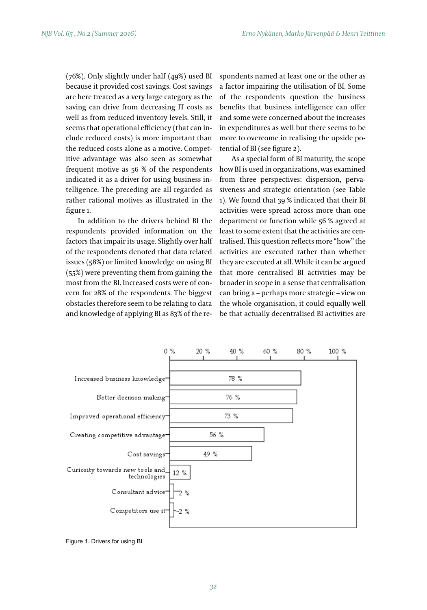(76%). Only slightly under half (49%) used BI because it provided cost savings. Cost savings are here treated as a very large category as the saving can drive from decreasing IT costs as well as from reduced inventory levels. Still, it seems that operational efficiency (that can include reduced costs) is more important than the reduced costs alone as a motive. Competitive advantage was also seen as somewhat frequent motive as 56 % of the respondents indicated it as a driver for using business intelligence. The preceding are all regarded as rather rational motives as illustrated in the figure 1.

In addition to the drivers behind BI the respondents provided information on the factors that impair its usage. Slightly over half of the respondents denoted that data related issues (58%) or limited knowledge on using BI (55%) were preventing them from gaining the most from the BI. Increased costs were of concern for 28% of the respondents. The biggest obstacles therefore seem to be relating to data and knowledge of applying BI as 83% of the respondents named at least one or the other as a factor impairing the utilisation of BI. Some of the respondents question the business benefits that business intelligence can offer and some were concerned about the increases in expenditures as well but there seems to be more to overcome in realising the upside potential of BI (see figure 2).

As a special form of BI maturity, the scope how BI is used in organizations, was examined from three perspectives: dispersion, pervasiveness and strategic orientation (see Table 1). We found that 39 % indicated that their BI activities were spread across more than one department or function while 56 % agreed at least to some extent that the activities are centralised. This question reflects more "how" the activities are executed rather than whether they are executed at all. While it can be argued that more centralised BI activities may be broader in scope in a sense that centralisation can bring a – perhaps more strategic – view on the whole organisation, it could equally well be that actually decentralised BI activities are



Figure 1. Drivers for using BI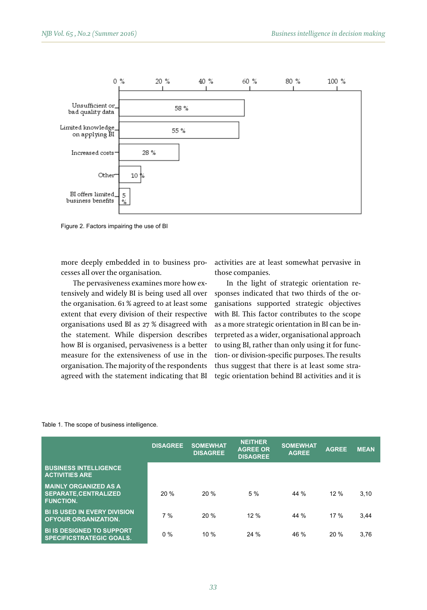

Figure 2. Factors impairing the use of BI

more deeply embedded in to business promore deeply embedded in the balances procedurities are developmental personal form of BI examined form of BI is used in the scope of BI is used in the scope of BI is used in the scope in the scope in the scope in the scope

The pervasiveness examines more how extensively and widely BI is being used all over the organisation. 61 % agreed to at least some extent that every division of their respective the statement. While dispersion describes how BI is organised, pervasiveness is a better measure for the extensiveness of use in the organisation. The majority of the respondents agreed with the statement indicating that BI activities are at least somewhat pervasive in those companies.

organisations used BI as 27 % disagreed with – as a more strategic orientation in BI can be infrom the pervasiveness examines more now ex-<br>tensively and widely BI is being used all over sponses indicated that two thirds of the orthe organisation. 61 % agreed to at least some ganisations supported strategic objectives how BI is organised, pervasiveness is a better to using BI, rather than only using it for funcorganisation. The majority of the respondents thus suggest that there is at least some stra-In the light of strategic orientation rewith BI. This factor contributes to the scope as a more strategic orientation in BI can be interpreted as a wider, organisational approach tion- or division-specific purposes. The results tegic orientation behind BI activities and it is

#### Table 1. The scope of business intelligence.

|                                                                                 | <b>DISAGREE</b> | <b>SOMEWHAT</b><br><b>DISAGREE</b> | <b>NEITHER</b><br><b>AGREE OR</b><br><b>DISAGREE</b> | <b>SOMEWHAT</b><br><b>AGREE</b> | <b>AGREE</b> | <b>MEAN</b> |
|---------------------------------------------------------------------------------|-----------------|------------------------------------|------------------------------------------------------|---------------------------------|--------------|-------------|
| <b>BUSINESS INTELLIGENCE</b><br><b>ACTIVITIES ARE</b>                           |                 |                                    |                                                      |                                 |              |             |
| <b>MAINLY ORGANIZED AS A</b><br><b>SEPARATE.CENTRALIZED</b><br><b>FUNCTION.</b> | 20%             | 20%                                | 5%                                                   | 44 %                            | 12%          | 3.10        |
| <b>BI IS USED IN EVERY DIVISION</b><br><b>OFYOUR ORGANIZATION.</b>              | 7%              | 20%                                | 12%                                                  | 44 %                            | 17%          | 3.44        |
| <b>BI IS DESIGNED TO SUPPORT</b><br><b>SPECIFICSTRATEGIC GOALS.</b>             | 0%              | 10%                                | 24%                                                  | 46 %                            | 20%          | 3,76        |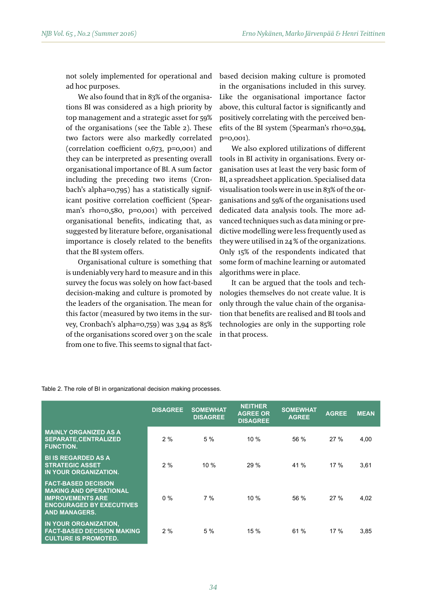not solely implemented for operational and ad hoc purposes.

We also found that in 83% of the organisations BI was considered as a high priority by top management and a strategic asset for 59% of the organisations (see the Table 2). These two factors were also markedly correlated (correlation coefficient 0,673, p=0,001) and they can be interpreted as presenting overall organisational importance of BI. A sum factor including the preceding two items (Cronbach's alpha=0,795) has a statistically significant positive correlation coefficient (Spearman's rho=0,580, p=0,001) with perceived organisational benefits, indicating that, as suggested by literature before, organisational importance is closely related to the benefits that the BI system offers.

Organisational culture is something that is undeniably very hard to measure and in this survey the focus was solely on how fact-based decision-making and culture is promoted by the leaders of the organisation. The mean for this factor (measured by two items in the survey, Cronbach's alpha=0,759) was 3,94 as 85% of the organisations scored over 3 on the scale from one to five. This seems to signal that factbased decision making culture is promoted in the organisations included in this survey. Like the organisational importance factor above, this cultural factor is significantly and positively correlating with the perceived benefits of the BI system (Spearman's rho=0,594, p=0,001).

We also explored utilizations of different tools in BI activity in organisations. Every organisation uses at least the very basic form of BI, a spreadsheet application. Specialised data visualisation tools were in use in 83% of the organisations and 59% of the organisations used dedicated data analysis tools. The more advanced techniques such as data mining or predictive modelling were less frequently used as they were utilised in 24 % of the organizations. Only 15% of the respondents indicated that some form of machine learning or automated algorithms were in place.

It can be argued that the tools and technologies themselves do not create value. It is only through the value chain of the organisation that benefits are realised and BI tools and technologies are only in the supporting role in that process.

|                                                                                                                                                   | <b>DISAGREE</b> | <b>SOMEWHAT</b><br><b>DISAGREE</b> | <b>NEITHER</b><br><b>AGREE OR</b><br><b>DISAGREE</b> | <b>SOMEWHAT</b><br><b>AGREE</b> | <b>AGREE</b> | <b>MEAN</b> |
|---------------------------------------------------------------------------------------------------------------------------------------------------|-----------------|------------------------------------|------------------------------------------------------|---------------------------------|--------------|-------------|
| <b>MAINLY ORGANIZED AS A</b><br><b>SEPARATE, CENTRALIZED</b><br><b>FUNCTION.</b>                                                                  | 2%              | 5%                                 | 10%                                                  | 56 %                            | 27%          | 4,00        |
| <b>BI IS REGARDED AS A</b><br><b>STRATEGIC ASSET</b><br>IN YOUR ORGANIZATION.                                                                     | 2%              | 10%                                | 29%                                                  | 41 %                            | 17%          | 3.61        |
| <b>FACT-BASED DECISION</b><br><b>MAKING AND OPERATIONAL</b><br><b>IMPROVEMENTS ARE</b><br><b>ENCOURAGED BY EXECUTIVES</b><br><b>AND MANAGERS.</b> | $0\%$           | $7\%$                              | 10%                                                  | 56%                             | 27%          | 4,02        |
| IN YOUR ORGANIZATION.<br><b>FACT-BASED DECISION MAKING</b><br><b>CULTURE IS PROMOTED.</b>                                                         | 2%              | 5%                                 | 15 %                                                 | 61 %                            | 17%          | 3,85        |

Table 2. The role of BI in organizational decision making processes.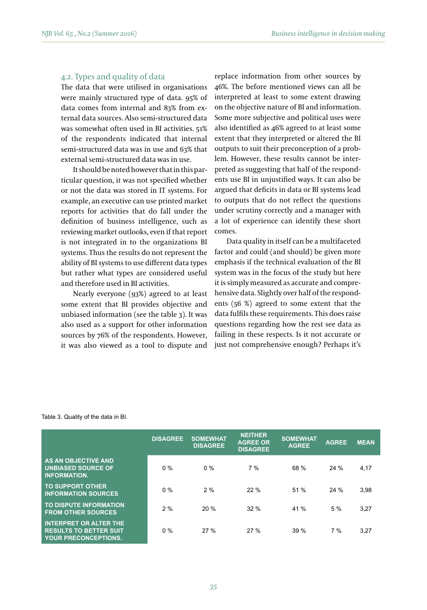## 4.2. Types and quality of data

The data that were utilised in organisations were mainly structured type of data. 95% of data comes from internal and 83% from external data sources. Also semi-structured data was somewhat often used in BI activities. 51% of the respondents indicated that internal semi-structured data was in use and 63% that external semi-structured data was in use.

It should be noted however that in this particular question, it was not specified whether or not the data was stored in IT systems. For example, an executive can use printed market reports for activities that do fall under the definition of business intelligence, such as reviewing market outlooks, even if that report is not integrated in to the organizations BI systems. Thus the results do not represent the ability of BI systems to use different data types but rather what types are considered useful and therefore used in BI activities.

Nearly everyone (93%) agreed to at least some extent that BI provides objective and unbiased information (see the table 3). It was also used as a support for other information sources by 76% of the respondents. However, it was also viewed as a tool to dispute and replace information from other sources by 46%. The before mentioned views can all be interpreted at least to some extent drawing on the objective nature of BI and information. Some more subjective and political uses were also identified as 46% agreed to at least some extent that they interpreted or altered the BI outputs to suit their preconception of a problem. However, these results cannot be interpreted as suggesting that half of the respondents use BI in unjustified ways. It can also be argued that deficits in data or BI systems lead to outputs that do not reflect the questions under scrutiny correctly and a manager with a lot of experience can identify these short comes.

Data quality in itself can be a multifaceted factor and could (and should) be given more emphasis if the technical evaluation of the BI system was in the focus of the study but here it is simply measured as accurate and comprehensive data. Slightly over half of the respondents (56 %) agreed to some extent that the data fulfils these requirements. This does raise questions regarding how the rest see data as failing in these respects. Is it not accurate or just not comprehensive enough? Perhaps it's

|                                                                                               | <b>DISAGREE</b> | <b>SOMEWHAT</b><br><b>DISAGREE</b> | <b>NEITHER</b><br><b>AGREE OR</b><br><b>DISAGREE</b> | <b>SOMEWHAT</b><br><b>AGREE</b> | <b>AGREE</b> | <b>MEAN</b> |
|-----------------------------------------------------------------------------------------------|-----------------|------------------------------------|------------------------------------------------------|---------------------------------|--------------|-------------|
| <b>AS AN OBJECTIVE AND</b><br><b>UNBIASED SOURCE OF</b><br><b>INFORMATION.</b>                | $0\%$           | $0\%$                              | $7\%$                                                | 68 %                            | 24%          | 4,17        |
| <b>TO SUPPORT OTHER</b><br><b>INFORMATION SOURCES</b>                                         | 0%              | 2%                                 | 22%                                                  | 51 %                            | 24%          | 3,98        |
| TO DISPUTE INFORMATION<br><b>FROM OTHER SOURCES</b>                                           | 2%              | 20%                                | 32%                                                  | 41 %                            | 5 %          | 3.27        |
| <b>INTERPRET OR ALTER THE</b><br><b>RESULTS TO BETTER SUIT</b><br><b>YOUR PRECONCEPTIONS.</b> | $0\%$           | 27%                                | 27%                                                  | 39%                             | 7%           | 3,27        |

#### Table 3. Quality of the data in BI.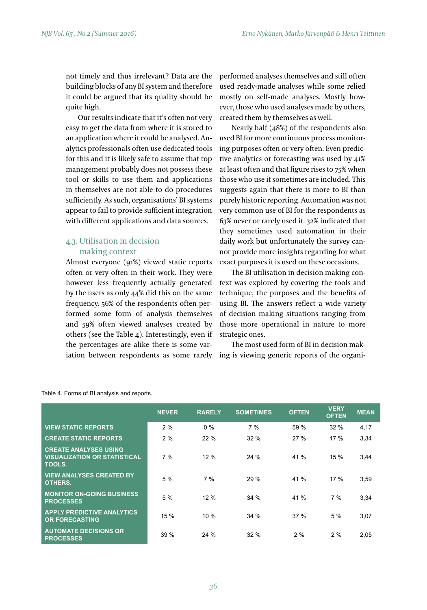not timely and thus irrelevant? Data are the building blocks of any BI system and therefore it could be argued that its quality should be quite high.

Our results indicate that it's often not very easy to get the data from where it is stored to an application where it could be analysed. Analytics professionals often use dedicated tools for this and it is likely safe to assume that top management probably does not possess these tool or skills to use them and applications in themselves are not able to do procedures sufficiently. As such, organisations' BI systems appear to fail to provide sufficient integration with different applications and data sources.

# 4.3. Utilisation in decision making context

Almost everyone (91%) viewed static reports often or very often in their work. They were however less frequently actually generated by the users as only 44% did this on the same frequency. 56% of the respondents often performed some form of analysis themselves and 59% often viewed analyses created by others (see the Table 4). Interestingly, even if the percentages are alike there is some variation between respondents as some rarely performed analyses themselves and still often used ready-made analyses while some relied mostly on self-made analyses. Mostly however, those who used analyses made by others, created them by themselves as well.

Nearly half (48%) of the respondents also used BI for more continuous process monitoring purposes often or very often. Even predictive analytics or forecasting was used by 41% at least often and that figure rises to 75% when those who use it sometimes are included. This suggests again that there is more to BI than purely historic reporting. Automation was not very common use of BI for the respondents as 63% never or rarely used it. 32% indicated that they sometimes used automation in their daily work but unfortunately the survey cannot provide more insights regarding for what exact purposes it is used on these occasions.

The BI utilisation in decision making context was explored by covering the tools and technique, the purposes and the benefits of using BI. The answers reflect a wide variety of decision making situations ranging from those more operational in nature to more strategic ones.

The most used form of BI in decision making is viewing generic reports of the organi-

|                                                                               | <b>NEVER</b> | <b>RARELY</b> | <b>SOMETIMES</b> | <b>OFTEN</b> | <b>VERY</b><br><b>OFTEN</b> | <b>MEAN</b> |
|-------------------------------------------------------------------------------|--------------|---------------|------------------|--------------|-----------------------------|-------------|
| <b>VIEW STATIC REPORTS</b>                                                    | 2%           | $0\%$         | 7%               | 59 %         | 32%                         | 4,17        |
| <b>CREATE STATIC REPORTS</b>                                                  | 2%           | 22%           | 32%              | 27%          | 17%                         | 3,34        |
| <b>CREATE ANALYSES USING</b><br><b>VISUALIZATION OR STATISTICAL</b><br>TOOLS. | 7%           | 12%           | 24%              | 41 %         | 15%                         | 3,44        |
| <b>VIEW ANALYSES CREATED BY</b><br>OTHERS.                                    | 5%           | 7%            | 29%              | 41 %         | 17%                         | 3,59        |
| <b>MONITOR ON-GOING BUSINESS</b><br><b>PROCESSES</b>                          | 5%           | 12%           | 34 %             | 41 %         | 7%                          | 3,34        |
| <b>APPLY PREDICTIVE ANALYTICS</b><br><b>OR FORECASTING</b>                    | 15 %         | 10 %          | 34 %             | 37%          | 5%                          | 3,07        |
| <b>AUTOMATE DECISIONS OR</b><br><b>PROCESSES</b>                              | 39%          | 24%           | 32%              | 2%           | 2%                          | 2,05        |

|  |  |  | Table 4. Forms of BI analysis and reports. |  |  |
|--|--|--|--------------------------------------------|--|--|
|--|--|--|--------------------------------------------|--|--|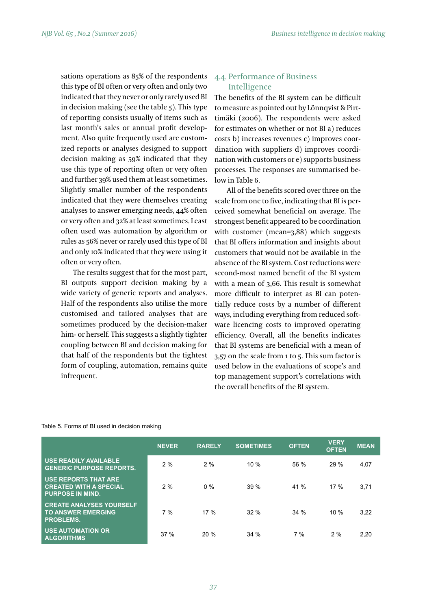sations operations as 85% of the respondents this type of BI often or very often and only two indicated that they never or only rarely used BI in decision making (see the table 5). This type of reporting consists usually of items such as last month's sales or annual profit development. Also quite frequently used are customized reports or analyses designed to support decision making as 59% indicated that they use this type of reporting often or very often and further 39% used them at least sometimes. Slightly smaller number of the respondents indicated that they were themselves creating analyses to answer emerging needs, 44% often or very often and 32% at least sometimes. Least often used was automation by algorithm or rules as 56% never or rarely used this type of BI and only 10% indicated that they were using it often or very often.

The results suggest that for the most part, BI outputs support decision making by a wide variety of generic reports and analyses. Half of the respondents also utilise the more customised and tailored analyses that are sometimes produced by the decision-maker him- or herself. This suggests a slightly tighter coupling between BI and decision making for that half of the respondents but the tightest form of coupling, automation, remains quite infrequent.

## 4.4. Performance of Business Intelligence

The benefits of the BI system can be difficult to measure as pointed out by Lönnqvist & Pirttimäki (2006). The respondents were asked for estimates on whether or not BI a) reduces costs b) increases revenues c) improves coordination with suppliers d) improves coordination with customers or e) supports business processes. The responses are summarised below in Table 6.

All of the benefits scored over three on the scale from one to five, indicating that BI is perceived somewhat beneficial on average. The strongest benefit appeared to be coordination with customer (mean=3,88) which suggests that BI offers information and insights about customers that would not be available in the absence of the BI system. Cost reductions were second-most named benefit of the BI system with a mean of 3,66. This result is somewhat more difficult to interpret as BI can potentially reduce costs by a number of different ways, including everything from reduced software licencing costs to improved operating efficiency. Overall, all the benefits indicates that BI systems are beneficial with a mean of 3,57 on the scale from 1 to 5. This sum factor is used below in the evaluations of scope's and top management support's correlations with the overall benefits of the BI system.

| Table 5. Forms of BI used in decision making |  |  |  |
|----------------------------------------------|--|--|--|
|----------------------------------------------|--|--|--|

|                                                                                         | <b>NEVER</b> | <b>RARELY</b> | <b>SOMETIMES</b> | <b>OFTEN</b> | <b>VERY</b><br><b>OFTEN</b> | <b>MEAN</b> |
|-----------------------------------------------------------------------------------------|--------------|---------------|------------------|--------------|-----------------------------|-------------|
| <b>USE READILY AVAILABLE</b><br><b>GENERIC PURPOSE REPORTS.</b>                         | 2%           | 2%            | 10%              | 56 %         | 29%                         | 4,07        |
| <b>USE REPORTS THAT ARE</b><br><b>CREATED WITH A SPECIAL</b><br><b>PURPOSE IN MIND.</b> | 2%           | $0\%$         | 39%              | 41 %         | 17%                         | 3.71        |
| <b>CREATE ANALYSES YOURSELF</b><br><b>TO ANSWER EMERGING</b><br><b>PROBLEMS.</b>        | 7%           | 17%           | 32%              | 34%          | 10%                         | 3,22        |
| <b>USE AUTOMATION OR</b><br><b>ALGORITHMS</b>                                           | 37%          | 20%           | 34%              | 7%           | 2%                          | 2.20        |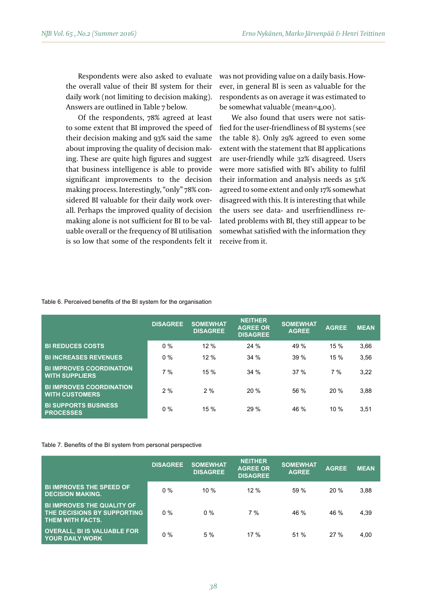Respondents were also asked to evaluate the overall value of their BI system for their daily work (not limiting to decision making). Answers are outlined in Table 7 below.

Of the respondents, 78% agreed at least to some extent that BI improved the speed of their decision making and 93% said the same about improving the quality of decision making. These are quite high figures and suggest that business intelligence is able to provide significant improvements to the decision making process. Interestingly, "only" 78% considered BI valuable for their daily work overall. Perhaps the improved quality of decision making alone is not sufficient for BI to be valuable overall or the frequency of BI utilisation is so low that some of the respondents felt it was not providing value on a daily basis. However, in general BI is seen as valuable for the respondents as on average it was estimated to be somewhat valuable (mean=4,00).

We also found that users were not satisfied for the user-friendliness of BI systems (see the table 8). Only 29% agreed to even some extent with the statement that BI applications are user-friendly while 32% disagreed. Users were more satisfied with BI's ability to fulfil their information and analysis needs as 51% agreed to some extent and only 17% somewhat disagreed with this. It is interesting that while the users see data- and userfriendliness related problems with BI, they still appear to be somewhat satisfied with the information they receive from it.

#### Table 6. Perceived benefits of the BI system for the organisation

|                                                          | <b>DISAGREE</b> | <b>SOMEWHAT</b><br><b>DISAGREE</b> | <b>NEITHER</b><br><b>AGREE OR</b><br><b>DISAGREE</b> | <b>SOMEWHAT</b><br><b>AGREE</b> | <b>AGREE</b> | <b>MEAN</b> |
|----------------------------------------------------------|-----------------|------------------------------------|------------------------------------------------------|---------------------------------|--------------|-------------|
| <b>BI REDUCES COSTS</b>                                  | 0%              | 12 %                               | 24%                                                  | 49 %                            | 15%          | 3,66        |
| <b>BI INCREASES REVENUES</b>                             | 0%              | 12 %                               | 34%                                                  | 39%                             | 15%          | 3,56        |
| <b>BI IMPROVES COORDINATION</b><br><b>WITH SUPPLIERS</b> | 7%              | 15 %                               | 34%                                                  | 37%                             | 7%           | 3,22        |
| <b>BI IMPROVES COORDINATION</b><br><b>WITH CUSTOMERS</b> | 2%              | 2%                                 | 20%                                                  | 56 %                            | 20%          | 3,88        |
| <b>BI SUPPORTS BUSINESS</b><br><b>PROCESSES</b>          | $0\%$           | 15 %                               | 29%                                                  | 46 %                            | 10%          | 3,51        |

#### Table 7. Benefits of the BI system from personal perspective

|                                                                                      | <b>DISAGREE</b> | <b>SOMEWHAT</b><br><b>DISAGREE</b> | <b>NEITHER</b><br><b>AGREE OR</b><br><b>DISAGREE</b> | <b>SOMEWHAT</b><br><b>AGREE</b> | <b>AGREE</b> | <b>MEAN</b> |
|--------------------------------------------------------------------------------------|-----------------|------------------------------------|------------------------------------------------------|---------------------------------|--------------|-------------|
| <b>BI IMPROVES THE SPEED OF</b><br><b>DECISION MAKING.</b>                           | $0\%$           | $10\%$                             | 12%                                                  | 59 %                            | 20 %         | 3.88        |
| <b>BI IMPROVES THE QUALITY OF</b><br>THE DECISIONS BY SUPPORTING<br>THEM WITH FACTS. | $0\%$           | $0\%$                              | 7%                                                   | 46 %                            | 46 %         | 4.39        |
| <b>OVERALL, BI IS VALUABLE FOR</b><br><b>YOUR DAILY WORK</b>                         | $0\%$           | 5%                                 | 17%                                                  | 51 %                            | 27 %         | 4.00        |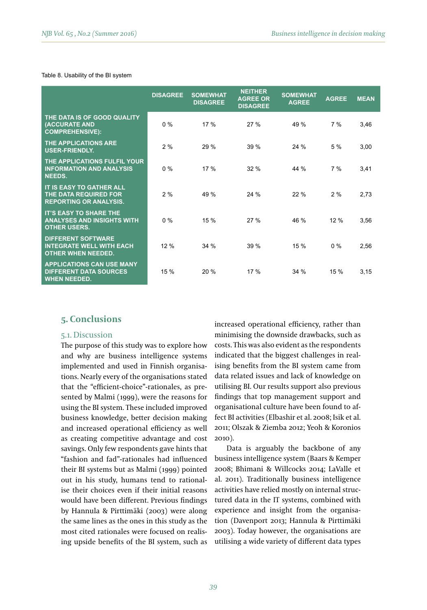#### Table 8. Usability of the BI system

|                                                                                           | <b>DISAGREE</b> | <b>SOMEWHAT</b><br><b>DISAGREE</b> | <b>NEITHER</b><br><b>AGREE OR</b><br><b>DISAGREE</b> | <b>SOMEWHAT</b><br><b>AGREE</b> | <b>AGREE</b> | <b>MEAN</b> |
|-------------------------------------------------------------------------------------------|-----------------|------------------------------------|------------------------------------------------------|---------------------------------|--------------|-------------|
| THE DATA IS OF GOOD QUALITY<br>(ACCURATE AND<br><b>COMPREHENSIVE):</b>                    | $0\%$           | 17 %                               | 27%                                                  | 49 %                            | 7%           | 3,46        |
| <b>THE APPLICATIONS ARE</b><br><b>USER-FRIENDLY.</b>                                      | 2%              | 29 %                               | 39 %                                                 | 24%                             | 5 %          | 3,00        |
| THE APPLICATIONS FULFIL YOUR<br><b>INFORMATION AND ANALYSIS</b><br>NEEDS.                 | $0\%$           | 17 %                               | 32%                                                  | 44 %                            | 7%           | 3,41        |
| <b>IT IS EASY TO GATHER ALL</b><br>THE DATA REQUIRED FOR<br><b>REPORTING OR ANALYSIS.</b> | 2%              | 49 %                               | 24%                                                  | 22%                             | 2%           | 2,73        |
| <b>IT'S EASY TO SHARE THE</b><br><b>ANALYSES AND INSIGHTS WITH</b><br><b>OTHER USERS.</b> | $0\%$           | 15 %                               | 27%                                                  | 46 %                            | 12 %         | 3,56        |
| <b>DIFFERENT SOFTWARE</b><br><b>INTEGRATE WELL WITH EACH</b><br><b>OTHER WHEN NEEDED.</b> | 12 %            | 34 %                               | 39 %                                                 | 15 %                            | $0\%$        | 2,56        |
| <b>APPLICATIONS CAN USE MANY</b><br><b>DIFFERENT DATA SOURCES</b><br><b>WHEN NEEDED.</b>  | 15 %            | 20%                                | 17 %                                                 | 34%                             | 15 %         | 3,15        |

# **5. Conclusions**

#### 5.1. Discussion

The purpose of this study was to explore how and why are business intelligence systems implemented and used in Finnish organisations. Nearly every of the organisations stated that the "efficient-choice"-rationales, as presented by Malmi (1999), were the reasons for using the BI system. These included improved business knowledge, better decision making and increased operational efficiency as well as creating competitive advantage and cost savings. Only few respondents gave hints that "fashion and fad"-rationales had influenced their BI systems but as Malmi (1999) pointed out in his study, humans tend to rationalise their choices even if their initial reasons would have been different. Previous findings by Hannula & Pirttimäki (2003) were along the same lines as the ones in this study as the most cited rationales were focused on realising upside benefits of the BI system, such as

increased operational efficiency, rather than minimising the downside drawbacks, such as costs. This was also evident as the respondents indicated that the biggest challenges in realising benefits from the BI system came from data related issues and lack of knowledge on utilising BI. Our results support also previous findings that top management support and organisational culture have been found to affect BI activities (Elbashir et al. 2008; Isik et al. 2011; Olszak & Ziemba 2012; Yeoh & Koronios 2010).

Data is arguably the backbone of any business intelligence system (Baars & Kemper 2008; Bhimani & Willcocks 2014; LaValle et al. 2011). Traditionally business intelligence activities have relied mostly on internal structured data in the IT systems, combined with experience and insight from the organisation (Davenport 2013; Hannula & Pirttimäki 2003). Today however, the organisations are utilising a wide variety of different data types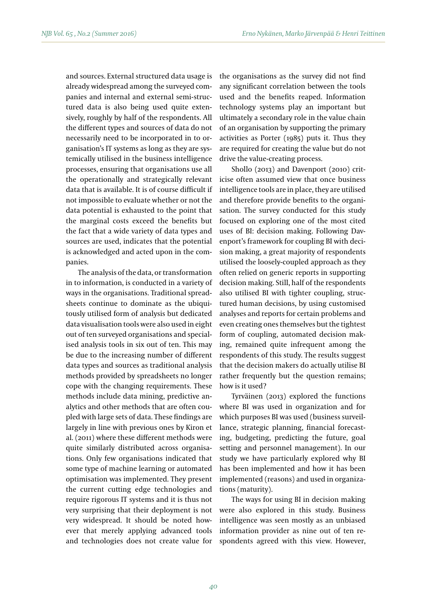and sources. External structured data usage is already widespread among the surveyed companies and internal and external semi-structured data is also being used quite extensively, roughly by half of the respondents. All the different types and sources of data do not necessarily need to be incorporated in to organisation's IT systems as long as they are systemically utilised in the business intelligence processes, ensuring that organisations use all the operationally and strategically relevant data that is available. It is of course difficult if not impossible to evaluate whether or not the data potential is exhausted to the point that the marginal costs exceed the benefits but the fact that a wide variety of data types and sources are used, indicates that the potential is acknowledged and acted upon in the companies.

The analysis of the data, or transformation in to information, is conducted in a variety of ways in the organisations. Traditional spreadsheets continue to dominate as the ubiquitously utilised form of analysis but dedicated data visualisation tools were also used in eight out of ten surveyed organisations and specialised analysis tools in six out of ten. This may be due to the increasing number of different data types and sources as traditional analysis methods provided by spreadsheets no longer cope with the changing requirements. These methods include data mining, predictive analytics and other methods that are often coupled with large sets of data. These findings are largely in line with previous ones by Kiron et al. (2011) where these different methods were quite similarly distributed across organisations. Only few organisations indicated that some type of machine learning or automated optimisation was implemented. They present the current cutting edge technologies and require rigorous IT systems and it is thus not very surprising that their deployment is not very widespread. It should be noted however that merely applying advanced tools and technologies does not create value for the organisations as the survey did not find any significant correlation between the tools used and the benefits reaped. Information technology systems play an important but ultimately a secondary role in the value chain of an organisation by supporting the primary activities as Porter (1985) puts it. Thus they are required for creating the value but do not drive the value-creating process.

Shollo (2013) and Davenport (2010) criticise often assumed view that once business intelligence tools are in place, they are utilised and therefore provide benefits to the organisation. The survey conducted for this study focused on exploring one of the most cited uses of BI: decision making. Following Davenport's framework for coupling BI with decision making, a great majority of respondents utilised the loosely-coupled approach as they often relied on generic reports in supporting decision making. Still, half of the respondents also utilised BI with tighter coupling, structured human decisions, by using customised analyses and reports for certain problems and even creating ones themselves but the tightest form of coupling, automated decision making, remained quite infrequent among the respondents of this study. The results suggest that the decision makers do actually utilise BI rather frequently but the question remains; how is it used?

Tyrväinen (2013) explored the functions where BI was used in organization and for which purposes BI was used (business surveillance, strategic planning, financial forecasting, budgeting, predicting the future, goal setting and personnel management). In our study we have particularly explored why BI has been implemented and how it has been implemented (reasons) and used in organizations (maturity).

The ways for using BI in decision making were also explored in this study. Business intelligence was seen mostly as an unbiased information provider as nine out of ten respondents agreed with this view. However,

*40*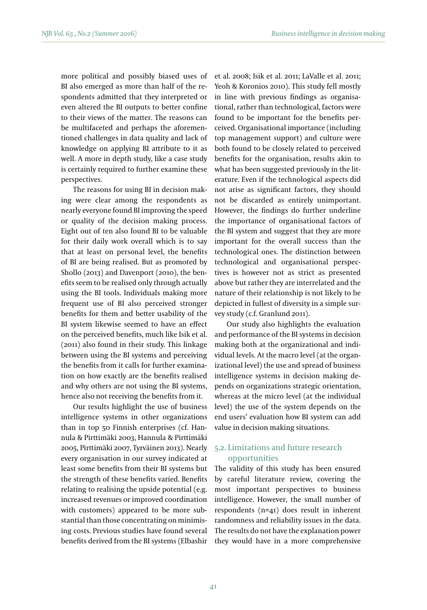more political and possibly biased uses of BI also emerged as more than half of the respondents admitted that they interpreted or even altered the BI outputs to better confine to their views of the matter. The reasons can be multifaceted and perhaps the aforementioned challenges in data quality and lack of knowledge on applying BI attribute to it as well. A more in depth study, like a case study is certainly required to further examine these perspectives.

The reasons for using BI in decision making were clear among the respondents as nearly everyone found BI improving the speed or quality of the decision making process. Eight out of ten also found BI to be valuable for their daily work overall which is to say that at least on personal level, the benefits of BI are being realised. But as promoted by Shollo (2013) and Davenport (2010), the benefits seem to be realised only through actually using the BI tools. Individuals making more frequent use of BI also perceived stronger benefits for them and better usability of the BI system likewise seemed to have an effect on the perceived benefits, much like Isik et al. (2011) also found in their study. This linkage between using the BI systems and perceiving the benefits from it calls for further examination on how exactly are the benefits realised and why others are not using the BI systems, hence also not receiving the benefits from it.

Our results highlight the use of business intelligence systems in other organizations than in top 50 Finnish enterprises (cf. Hannula & Pirttimäki 2003, Hannula & Pirttimäki 2005, Pirttimäki 2007, Tyrväinen 2013). Nearly every organisation in our survey indicated at least some benefits from their BI systems but the strength of these benefits varied. Benefits relating to realising the upside potential (e.g. increased revenues or improved coordination with customers) appeared to be more substantial than those concentrating on minimising costs. Previous studies have found several benefits derived from the BI systems (Elbashir et al. 2008; Isik et al. 2011; LaValle et al. 2011; Yeoh & Koronios 2010). This study fell mostly in line with previous findings as organisational, rather than technological, factors were found to be important for the benefits perceived. Organisational importance (including top management support) and culture were both found to be closely related to perceived benefits for the organisation, results akin to what has been suggested previously in the literature. Even if the technological aspects did not arise as significant factors, they should not be discarded as entirely unimportant. However, the findings do further underline the importance of organisational factors of the BI system and suggest that they are more important for the overall success than the technological ones. The distinction between technological and organisational perspectives is however not as strict as presented above but rather they are interrelated and the nature of their relationship is not likely to be depicted in fullest of diversity in a simple survey study (c.f. Granlund 2011).

Our study also highlights the evaluation and performance of the BI systems in decision making both at the organizational and individual levels. At the macro level (at the organizational level) the use and spread of business intelligence systems in decision making depends on organizations strategic orientation, whereas at the micro level (at the individual level) the use of the system depends on the end users' evaluation how BI system can add value in decision making situations.

# 5.2. Limitations and future research opportunities

The validity of this study has been ensured by careful literature review, covering the most important perspectives to business intelligence. However, the small number of respondents (n=41) does result in inherent randomness and reliability issues in the data. The results do not have the explanation power they would have in a more comprehensive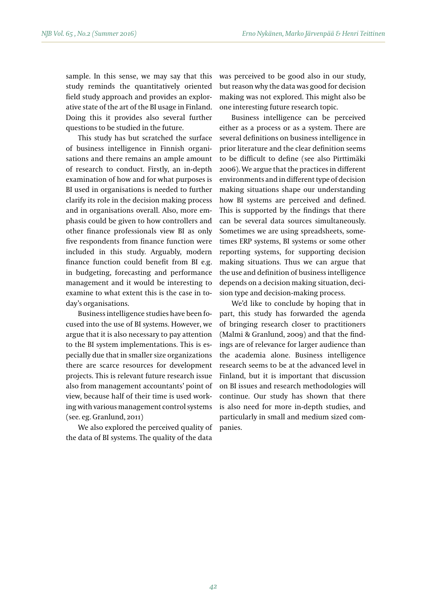sample. In this sense, we may say that this study reminds the quantitatively oriented field study approach and provides an explorative state of the art of the BI usage in Finland. Doing this it provides also several further questions to be studied in the future.

This study has but scratched the surface of business intelligence in Finnish organisations and there remains an ample amount of research to conduct. Firstly, an in-depth examination of how and for what purposes is BI used in organisations is needed to further clarify its role in the decision making process and in organisations overall. Also, more emphasis could be given to how controllers and other finance professionals view BI as only five respondents from finance function were included in this study. Arguably, modern finance function could benefit from BI e.g. in budgeting, forecasting and performance management and it would be interesting to examine to what extent this is the case in today's organisations.

Business intelligence studies have been focused into the use of BI systems. However, we argue that it is also necessary to pay attention to the BI system implementations. This is especially due that in smaller size organizations there are scarce resources for development projects. This is relevant future research issue also from management accountants' point of view, because half of their time is used working with various management control systems (see. eg. Granlund, 2011)

We also explored the perceived quality of the data of BI systems. The quality of the data

was perceived to be good also in our study, but reason why the data was good for decision making was not explored. This might also be one interesting future research topic.

Business intelligence can be perceived either as a process or as a system. There are several definitions on business intelligence in prior literature and the clear definition seems to be difficult to define (see also Pirttimäki 2006). We argue that the practices in different environments and in different type of decision making situations shape our understanding how BI systems are perceived and defined. This is supported by the findings that there can be several data sources simultaneously. Sometimes we are using spreadsheets, sometimes ERP systems, BI systems or some other reporting systems, for supporting decision making situations. Thus we can argue that the use and definition of business intelligence depends on a decision making situation, decision type and decision-making process.

We'd like to conclude by hoping that in part, this study has forwarded the agenda of bringing research closer to practitioners (Malmi & Granlund, 2009) and that the findings are of relevance for larger audience than the academia alone. Business intelligence research seems to be at the advanced level in Finland, but it is important that discussion on BI issues and research methodologies will continue. Our study has shown that there is also need for more in-depth studies, and particularly in small and medium sized companies.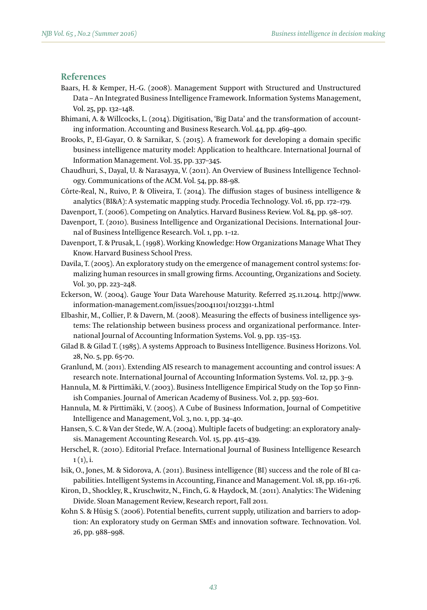## **References**

- Baars, H. & Kemper, H.-G. (2008). Management Support with Structured and Unstructured Data – An Integrated Business Intelligence Framework. Information Systems Management, Vol. 25, pp. 132–148.
- Bhimani, A. & Willcocks, L. (2014). Digitisation, 'Big Data' and the transformation of accounting information. Accounting and Business Research. Vol. 44, pp. 469–490.
- Brooks, P., El-Gayar, O. & Sarnikar, S. (2015). A framework for developing a domain specific business intelligence maturity model: Application to healthcare. International Journal of Information Management. Vol. 35, pp. 337–345.
- Chaudhuri, S., Dayal, U. & Narasayya, V. (2011). An Overview of Business Intelligence Technology. Communications of the ACM. Vol. 54, pp. 88-98.
- Côrte-Real, N., Ruivo, P. & Oliveira, T. (2014). The diffusion stages of business intelligence & analytics (BI&A): A systematic mapping study. Procedia Technology. Vol. 16, pp. 172–179.
- Davenport, T. (2006). Competing on Analytics. Harvard Business Review. Vol. 84, pp. 98–107.
- Davenport, T. (2010). Business Intelligence and Organizational Decisions. International Journal of Business Intelligence Research. Vol. 1, pp. 1–12.
- Davenport, T. & Prusak, L. (1998). Working Knowledge: How Organizations Manage What They Know. Harvard Business School Press.
- Davila, T. (2005). An exploratory study on the emergence of management control systems: formalizing human resources in small growing firms. Accounting, Organizations and Society. Vol. 30, pp. 223–248.
- Eckerson, W. (2004). Gauge Your Data Warehouse Maturity. Referred 25.11.2014. http://www. information-management.com/issues/20041101/1012391-1.html
- Elbashir, M., Collier, P. & Davern, M. (2008). Measuring the effects of business intelligence systems: The relationship between business process and organizational performance. International Journal of Accounting Information Systems. Vol. 9, pp. 135–153.
- Gilad B. & Gilad T. (1985). A systems Approach to Business Intelligence. Business Horizons. Vol. 28, No. 5, pp. 65-70.
- Granlund, M. (2011). Extending AIS research to management accounting and control issues: A research note. International Journal of Accounting Information Systems. Vol. 12, pp. 3–9.
- Hannula, M. & Pirttimäki, V. (2003). Business Intelligence Empirical Study on the Top 50 Finnish Companies. Journal of American Academy of Business. Vol. 2, pp. 593–601.
- Hannula, M. & Pirttimäki, V. (2005). A Cube of Business Information, Journal of Competitive Intelligence and Management, Vol. 3, no. 1, pp. 34–40.
- Hansen, S. C. & Van der Stede, W. A. (2004). Multiple facets of budgeting: an exploratory analysis. Management Accounting Research. Vol. 15, pp. 415–439.
- Herschel, R. (2010). Editorial Preface. International Journal of Business Intelligence Research  $1(1), i.$
- Isik, O., Jones, M. & Sidorova, A. (2011). Business intelligence (BI) success and the role of BI capabilities. Intelligent Systems in Accounting, Finance and Management. Vol. 18, pp. 161-176.
- Kiron, D., Shockley, R., Kruschwitz, N., Finch, G. & Haydock, M. (2011). Analytics: The Widening Divide. Sloan Management Review, Research report, Fall 2011.
- Kohn S. & Hüsig S. (2006). Potential benefits, current supply, utilization and barriers to adoption: An exploratory study on German SMEs and innovation software. Technovation. Vol. 26, pp. 988–998.